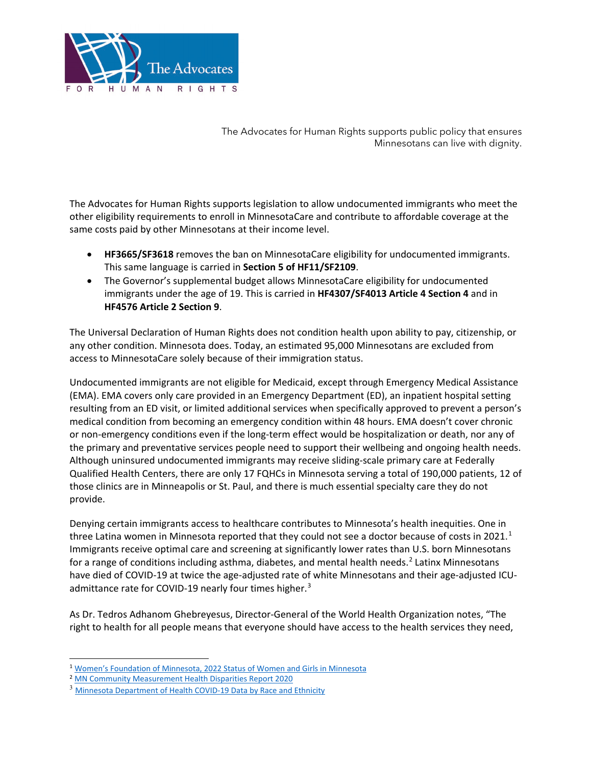

The Advocates for Human Rights supports public policy that ensures Minnesotans can live with dignity.

The Advocates for Human Rights supports legislation to allow undocumented immigrants who meet the other eligibility requirements to enroll in MinnesotaCare and contribute to affordable coverage at the same costs paid by other Minnesotans at their income level.

- **HF3665/SF3618** removes the ban on MinnesotaCare eligibility for undocumented immigrants. This same language is carried in **Section 5 of HF11/SF2109**.
- The Governor's supplemental budget allows MinnesotaCare eligibility for undocumented immigrants under the age of 19. This is carried in **HF4307/SF4013 Article 4 Section 4** and in **HF4576 Article 2 Section 9**.

The Universal Declaration of Human Rights does not condition health upon ability to pay, citizenship, or any other condition. Minnesota does. Today, an estimated 95,000 Minnesotans are excluded from access to MinnesotaCare solely because of their immigration status.

Undocumented immigrants are not eligible for Medicaid, except through Emergency Medical Assistance (EMA). EMA covers only care provided in an Emergency Department (ED), an inpatient hospital setting resulting from an ED visit, or limited additional services when specifically approved to prevent a person's medical condition from becoming an emergency condition within 48 hours. EMA doesn't cover chronic or non-emergency conditions even if the long-term effect would be hospitalization or death, nor any of the primary and preventative services people need to support their wellbeing and ongoing health needs. Although uninsured undocumented immigrants may receive sliding-scale primary care at Federally Qualified Health Centers, there are only 17 FQHCs in Minnesota serving a total of 190,000 patients, 12 of those clinics are in Minneapolis or St. Paul, and there is much essential specialty care they do not provide.

Denying certain immigrants access to healthcare contributes to Minnesota's health inequities. One in three Latina women in Minnesota reported that they could not see a doctor because of costs in 202[1](#page-0-0).<sup>1</sup> Immigrants receive optimal care and screening at significantly lower rates than U.S. born Minnesotans for a range of conditions including asthma, diabetes, and mental health needs.<sup>[2](#page-0-1)</sup> Latinx Minnesotans have died of COVID-19 at twice the age-adjusted rate of white Minnesotans and their age-adjusted ICU-admittance rate for COVID-19 nearly four times higher.<sup>[3](#page-0-2)</sup>

As Dr. Tedros Adhanom Ghebreyesus, Director-General of the World Health Organization notes, "The right to health for all people means that everyone should have access to the health services they need,

<span id="page-0-0"></span><sup>1</sup> Women's Foundation of Minnesota, [2022 Status of Women and Girls in Minnesota](https://5hmu22w0slizp30doyr8p14u-wpengine.netdna-ssl.com/wp-content/uploads/2022/03/WFMN-2022-Status-of-Women-Girls-in-MN.pdf)

<span id="page-0-1"></span><sup>&</sup>lt;sup>2</sup> [MN Community Measurement Health Disparities Report 2020](https://mncmsecure.org/website/Reports/Community%20Reports/Disparities%20by%20RELC/2020%20Disparities%20by%20RELC%20Chartbook%20-%20FINAL.pdf)

<span id="page-0-2"></span><sup>&</sup>lt;sup>3</sup> [Minnesota Department of Health COVID-19 Data by Race and Ethnicity](https://mn.gov/covid19/data/data-by-race-ethnicity/index.jsp)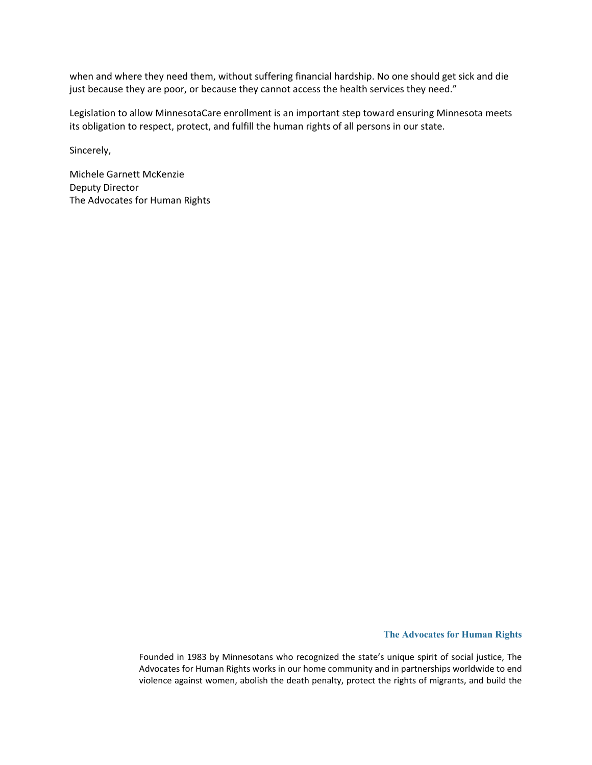when and where they need them, without suffering financial hardship. No one should get sick and die just because they are poor, or because they cannot access the health services they need."

Legislation to allow MinnesotaCare enrollment is an important step toward ensuring Minnesota meets its obligation to respect, protect, and fulfill the human rights of all persons in our state.

Sincerely,

Michele Garnett McKenzie Deputy Director The Advocates for Human Rights

## **The Advocates for Human Rights**

Founded in 1983 by Minnesotans who recognized the state's unique spirit of social justice, The Advocates for Human Rights works in our home community and in partnerships worldwide to end violence against women, abolish the death penalty, protect the rights of migrants, and build the